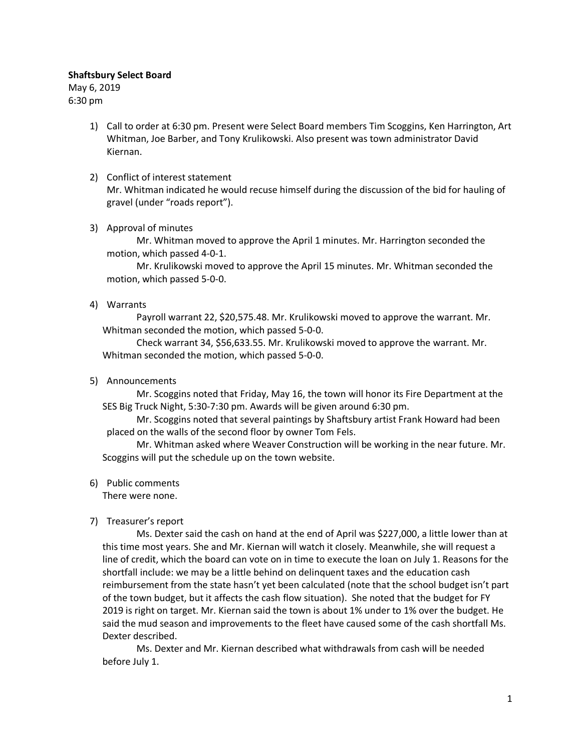#### Shaftsbury Select Board

May 6, 2019 6:30 pm

> 1) Call to order at 6:30 pm. Present were Select Board members Tim Scoggins, Ken Harrington, Art Whitman, Joe Barber, and Tony Krulikowski. Also present was town administrator David Kiernan.

# 2) Conflict of interest statement Mr. Whitman indicated he would recuse himself during the discussion of the bid for hauling of gravel (under "roads report").

3) Approval of minutes

Mr. Whitman moved to approve the April 1 minutes. Mr. Harrington seconded the motion, which passed 4-0-1.

Mr. Krulikowski moved to approve the April 15 minutes. Mr. Whitman seconded the motion, which passed 5-0-0.

4) Warrants

Payroll warrant 22, \$20,575.48. Mr. Krulikowski moved to approve the warrant. Mr. Whitman seconded the motion, which passed 5-0-0.

Check warrant 34, \$56,633.55. Mr. Krulikowski moved to approve the warrant. Mr. Whitman seconded the motion, which passed 5-0-0.

5) Announcements

Mr. Scoggins noted that Friday, May 16, the town will honor its Fire Department at the SES Big Truck Night, 5:30-7:30 pm. Awards will be given around 6:30 pm.

Mr. Scoggins noted that several paintings by Shaftsbury artist Frank Howard had been placed on the walls of the second floor by owner Tom Fels.

Mr. Whitman asked where Weaver Construction will be working in the near future. Mr. Scoggins will put the schedule up on the town website.

6) Public comments

There were none.

7) Treasurer's report

Ms. Dexter said the cash on hand at the end of April was \$227,000, a little lower than at this time most years. She and Mr. Kiernan will watch it closely. Meanwhile, she will request a line of credit, which the board can vote on in time to execute the loan on July 1. Reasons for the shortfall include: we may be a little behind on delinquent taxes and the education cash reimbursement from the state hasn't yet been calculated (note that the school budget isn't part of the town budget, but it affects the cash flow situation). She noted that the budget for FY 2019 is right on target. Mr. Kiernan said the town is about 1% under to 1% over the budget. He said the mud season and improvements to the fleet have caused some of the cash shortfall Ms. Dexter described.

Ms. Dexter and Mr. Kiernan described what withdrawals from cash will be needed before July 1.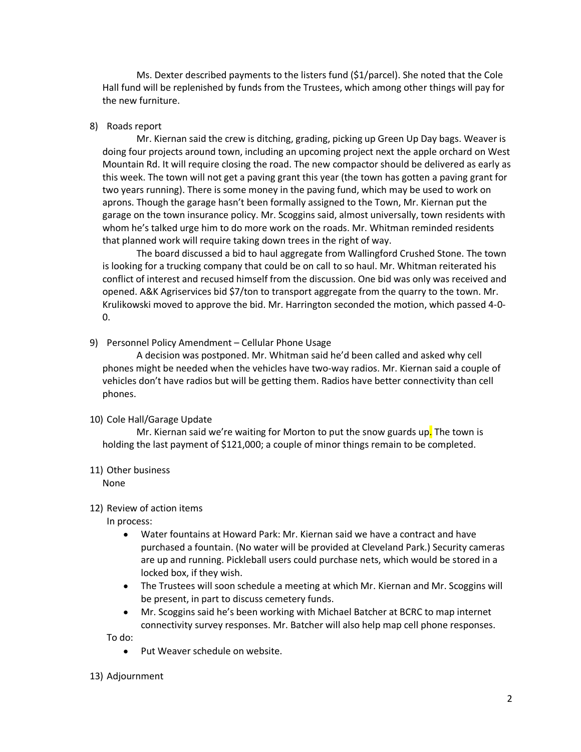Ms. Dexter described payments to the listers fund (\$1/parcel). She noted that the Cole Hall fund will be replenished by funds from the Trustees, which among other things will pay for the new furniture.

#### 8) Roads report

Mr. Kiernan said the crew is ditching, grading, picking up Green Up Day bags. Weaver is doing four projects around town, including an upcoming project next the apple orchard on West Mountain Rd. It will require closing the road. The new compactor should be delivered as early as this week. The town will not get a paving grant this year (the town has gotten a paving grant for two years running). There is some money in the paving fund, which may be used to work on aprons. Though the garage hasn't been formally assigned to the Town, Mr. Kiernan put the garage on the town insurance policy. Mr. Scoggins said, almost universally, town residents with whom he's talked urge him to do more work on the roads. Mr. Whitman reminded residents that planned work will require taking down trees in the right of way.

The board discussed a bid to haul aggregate from Wallingford Crushed Stone. The town is looking for a trucking company that could be on call to so haul. Mr. Whitman reiterated his conflict of interest and recused himself from the discussion. One bid was only was received and opened. A&K Agriservices bid \$7/ton to transport aggregate from the quarry to the town. Mr. Krulikowski moved to approve the bid. Mr. Harrington seconded the motion, which passed 4-0- 0.

9) Personnel Policy Amendment – Cellular Phone Usage

A decision was postponed. Mr. Whitman said he'd been called and asked why cell phones might be needed when the vehicles have two-way radios. Mr. Kiernan said a couple of vehicles don't have radios but will be getting them. Radios have better connectivity than cell phones.

# 10) Cole Hall/Garage Update

Mr. Kiernan said we're waiting for Morton to put the snow guards up. The town is holding the last payment of \$121,000; a couple of minor things remain to be completed.

#### 11) Other business

None

# 12) Review of action items

In process:

- Water fountains at Howard Park: Mr. Kiernan said we have a contract and have purchased a fountain. (No water will be provided at Cleveland Park.) Security cameras are up and running. Pickleball users could purchase nets, which would be stored in a locked box, if they wish.
- The Trustees will soon schedule a meeting at which Mr. Kiernan and Mr. Scoggins will be present, in part to discuss cemetery funds.
- Mr. Scoggins said he's been working with Michael Batcher at BCRC to map internet connectivity survey responses. Mr. Batcher will also help map cell phone responses.

To do:

• Put Weaver schedule on website.

# 13) Adjournment